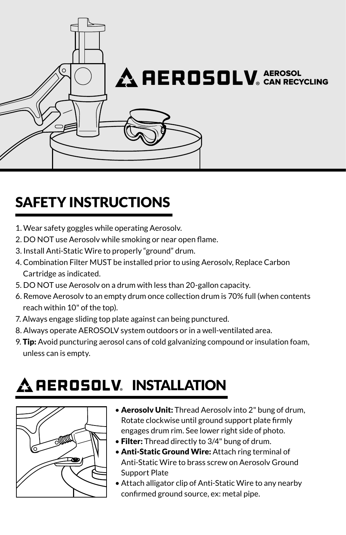

### SAFETY INSTRUCTIONS

- 1. Wear safety goggles while operating Aerosolv.
- 2. DO NOT use Aerosolv while smoking or near open flame.
- 3. Install Anti-Static Wire to properly "ground" drum.
- 4. Combination Filter MUST be installed prior to using Aerosolv, Replace Carbon Cartridge as indicated.
- 5. DO NOT use Aerosolv on a drum with less than 20-gallon capacity.
- 6. Remove Aerosolv to an empty drum once collection drum is 70% full (when contents reach within 10" of the top).
- 7. Always engage sliding top plate against can being punctured.
- 8. Always operate AEROSOLV system outdoors or in a well-ventilated area.
- 9. Tip: Avoid puncturing aerosol cans of cold galvanizing compound or insulation foam, unless can is empty.

## AEROSOLV. INSTALLATION



- Aerosoly Unit: Thread Aerosoly into 2" bung of drum, Rotate clockwise until ground support plate firmly engages drum rim. See lower right side of photo.
- Filter: Thread directly to 3/4" bung of drum.
- Anti-Static Ground Wire: Attach ring terminal of Anti-Static Wire to brass screw on Aerosolv Ground Support Plate
- Attach alligator clip of Anti-Static Wire to any nearby confirmed ground source, ex: metal pipe.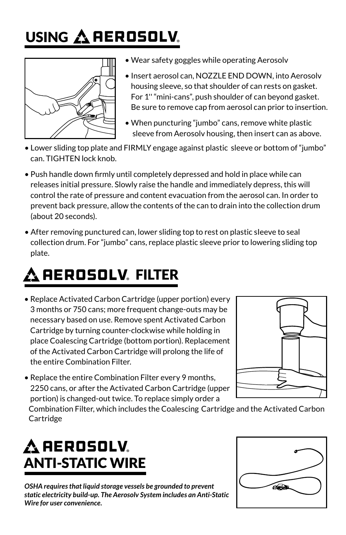# <u>USING AREROSOLV.</u>



- Wear safety goggles while operating Aerosolv
- Insert aerosol can, NOZZLE END DOWN, into Aerosolv housing sleeve, so that shoulder of can rests on gasket. For 1'' "mini-cans", push shoulder of can beyond gasket. Be sure to remove cap from aerosol can prior to insertion.
- When puncturing "jumbo" cans, remove white plastic sleeve from Aerosolv housing, then insert can as above.
- Lower sliding top plate and FIRMLY engage against plastic sleeve or bottom of "jumbo" can. TIGHTEN lock knob.
- Push handle down firmly until completely depressed and hold in place while can releases initial pressure. Slowly raise the handle and immediately depress, this will control the rate of pressure and content evacuation from the aerosol can. In order to prevent back pressure, allow the contents of the can to drain into the collection drum (about 20 seconds).
- After removing punctured can, lower sliding top to rest on plastic sleeve to seal collection drum. For "jumbo" cans, replace plastic sleeve prior to lowering sliding top plate.

# AEROSOLV. FILTER

• Replace Activated Carbon Cartridge (upper portion) every 3 months or 750 cans; more frequent change-outs may be necessary based on use. Remove spent Activated Carbon Cartridge by turning counter-clockwise while holding in place Coalescing Cartridge (bottom portion). Replacement of the Activated Carbon Cartridge will prolong the life of the entire Combination Filter.



• Replace the entire Combination Filter every 9 months, 2250 cans, or after the Activated Carbon Cartridge (upper portion) is changed-out twice. To replace simply order a

 Combination Filter, which includes the Coalescing Cartridge and the Activated Carbon **Cartridge** 

## ANTI-STATIC WIRE  $\boldsymbol{\Delta}$  AEROSOLV.

*OSHA requires that liquid storage vessels be grounded to prevent static electricity build-up. The Aerosolv System includes an Anti-Static Wire for user convenience.*

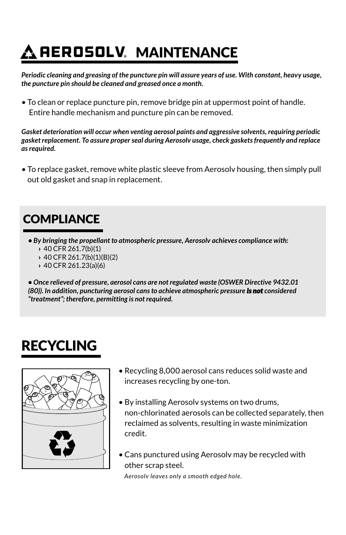# REROSOLV. MAINTENANCE

*Periodic cleaning and greasing of the puncture pin will assure years of use. With constant, heavy usage, the puncture pin should be cleaned and greased once a month.*

• To clean or replace puncture pin, remove bridge pin at uppermost point of handle. Entire handle mechanism and puncture pin can be removed.

*Gasket deterioration will occur when venting aerosol paints and aggressive solvents, requiring periodic gasket replacement. To assure proper seal during Aerosolv usage, check gaskets frequently and replace as required.*

• To replace gasket, remove white plastic sleeve from Aerosolv housing, then simply pull out old gasket and snap in replacement.

#### **COMPLIANCE**

- *By bringing the propellant to atmospheric pressure, Aerosolv achieves compliance with:*
	- › 40 CFR 261.7(b)(1)
	- › 40 CFR 261.7(b)(1)(B)(2)
	- › 40 CFR 261.23(a)(6)

*• Once relieved of pressure, aerosol cans are not regulated waste (OSWER Directive 9432.01 (80)). In addition, puncturing aerosol cans to achieve atmospheric pressure is not considered "treatment"; therefore, permitting is not required.*

### RECYCLING



- Recycling 8,000 aerosol cans reduces solid waste and increases recycling by one-ton.
- By installing Aerosolv systems on two drums, non-chlorinated aerosols can be collected separately, then reclaimed as solvents, resulting in waste minimization credit.
- Cans punctured using Aerosolv may be recycled with other scrap steel.

*Aerosolv leaves only a smooth edged hole.*